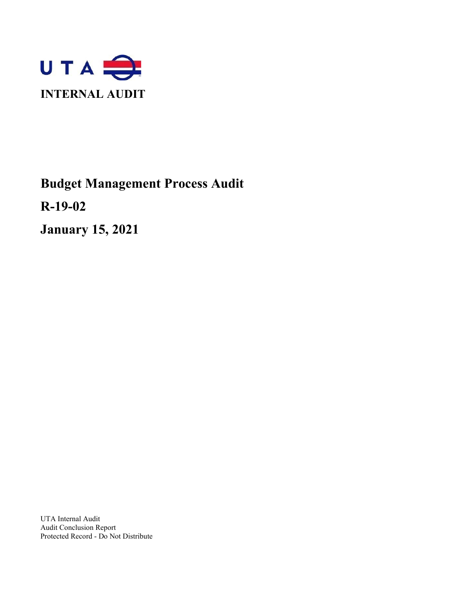

# **Budget Management Process Audit**

**R-19-02**

**January 15, 2021**

UTA Internal Audit Audit Conclusion Report Protected Record - Do Not Distribute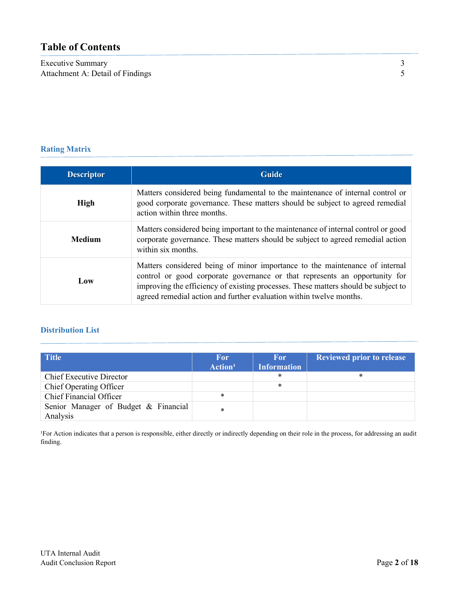# **Table of Contents**

Executive Summary 3<br>Attachment A: Detail of Findings 5 Attachment A: Detail of Findings

# **Rating Matrix**

| <b>Descriptor</b> | <b>Guide</b>                                                                                                                                                                                                                                                                                                           |  |  |
|-------------------|------------------------------------------------------------------------------------------------------------------------------------------------------------------------------------------------------------------------------------------------------------------------------------------------------------------------|--|--|
| <b>High</b>       | Matters considered being fundamental to the maintenance of internal control or<br>good corporate governance. These matters should be subject to agreed remedial<br>action within three months.                                                                                                                         |  |  |
| <b>Medium</b>     | Matters considered being important to the maintenance of internal control or good<br>corporate governance. These matters should be subject to agreed remedial action<br>within six months.                                                                                                                             |  |  |
| Low               | Matters considered being of minor importance to the maintenance of internal<br>control or good corporate governance or that represents an opportunity for<br>improving the efficiency of existing processes. These matters should be subject to<br>agreed remedial action and further evaluation within twelve months. |  |  |

# **Distribution List**

| <b>Title</b>                                     | For<br>Action <sup>1</sup> | <b>For</b><br><b>Information</b> | <b>Reviewed prior to release</b> |
|--------------------------------------------------|----------------------------|----------------------------------|----------------------------------|
| <b>Chief Executive Director</b>                  |                            | *                                | $\ast$                           |
| Chief Operating Officer                          |                            | *                                |                                  |
| <b>Chief Financial Officer</b>                   | $\ast$                     |                                  |                                  |
| Senior Manager of Budget & Financial<br>Analysis | $\ast$                     |                                  |                                  |

<sup>1</sup>For Action indicates that a person is responsible, either directly or indirectly depending on their role in the process, for addressing an audit finding.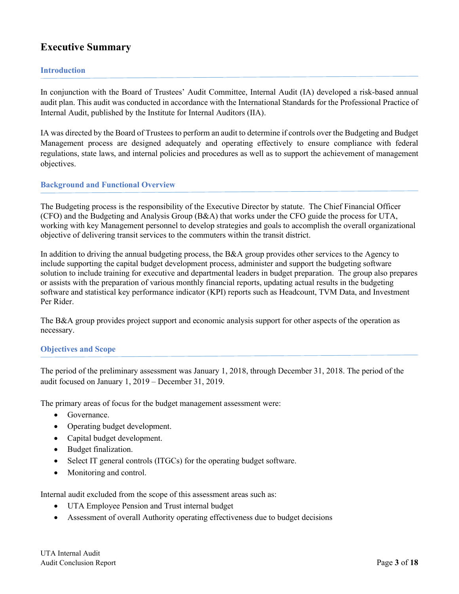# **Executive Summary**

# **Introduction**

In conjunction with the Board of Trustees' Audit Committee, Internal Audit (IA) developed a risk-based annual audit plan. This audit was conducted in accordance with the International Standards for the Professional Practice of Internal Audit, published by the Institute for Internal Auditors (IIA).

IA was directed by the Board of Trustees to perform an audit to determine if controls over the Budgeting and Budget Management process are designed adequately and operating effectively to ensure compliance with federal regulations, state laws, and internal policies and procedures as well as to support the achievement of management objectives.

# **Background and Functional Overview**

The Budgeting process is the responsibility of the Executive Director by statute. The Chief Financial Officer (CFO) and the Budgeting and Analysis Group (B&A) that works under the CFO guide the process for UTA, working with key Management personnel to develop strategies and goals to accomplish the overall organizational objective of delivering transit services to the commuters within the transit district.

In addition to driving the annual budgeting process, the B&A group provides other services to the Agency to include supporting the capital budget development process, administer and support the budgeting software solution to include training for executive and departmental leaders in budget preparation. The group also prepares or assists with the preparation of various monthly financial reports, updating actual results in the budgeting software and statistical key performance indicator (KPI) reports such as Headcount, TVM Data, and Investment Per Rider.

The B&A group provides project support and economic analysis support for other aspects of the operation as necessary.

# **Objectives and Scope**

The period of the preliminary assessment was January 1, 2018, through December 31, 2018. The period of the audit focused on January 1, 2019 – December 31, 2019.

The primary areas of focus for the budget management assessment were:

- Governance.
- Operating budget development.
- Capital budget development.
- Budget finalization.
- Select IT general controls (ITGCs) for the operating budget software.
- Monitoring and control.

Internal audit excluded from the scope of this assessment areas such as:

- UTA Employee Pension and Trust internal budget
- Assessment of overall Authority operating effectiveness due to budget decisions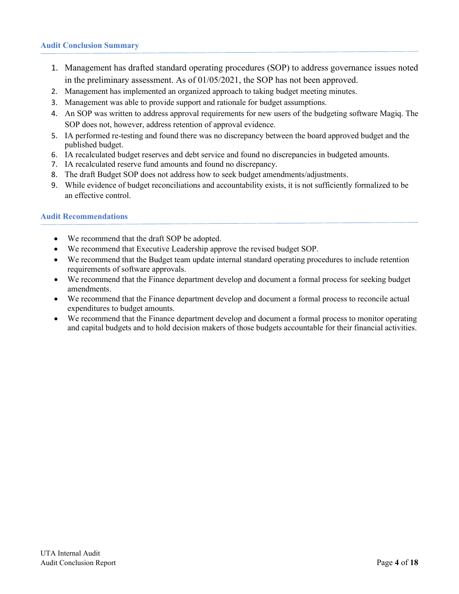# **Audit Conclusion Summary**

- 1. Management has drafted standard operating procedures (SOP) to address governance issues noted in the preliminary assessment. As of 01/05/2021, the SOP has not been approved.
- 2. Management has implemented an organized approach to taking budget meeting minutes.
- 3. Management was able to provide support and rationale for budget assumptions.
- 4. An SOP was written to address approval requirements for new users of the budgeting software Magiq. The SOP does not, however, address retention of approval evidence.
- 5. IA performed re-testing and found there was no discrepancy between the board approved budget and the published budget.
- 6. IA recalculated budget reserves and debt service and found no discrepancies in budgeted amounts.
- 7. IA recalculated reserve fund amounts and found no discrepancy.
- 8. The draft Budget SOP does not address how to seek budget amendments/adjustments.
- 9. While evidence of budget reconciliations and accountability exists, it is not sufficiently formalized to be an effective control.

# **Audit Recommendations**

- We recommend that the draft SOP be adopted.
- We recommend that Executive Leadership approve the revised budget SOP.
- We recommend that the Budget team update internal standard operating procedures to include retention requirements of software approvals.
- We recommend that the Finance department develop and document a formal process for seeking budget amendments.
- We recommend that the Finance department develop and document a formal process to reconcile actual expenditures to budget amounts.
- We recommend that the Finance department develop and document a formal process to monitor operating and capital budgets and to hold decision makers of those budgets accountable for their financial activities.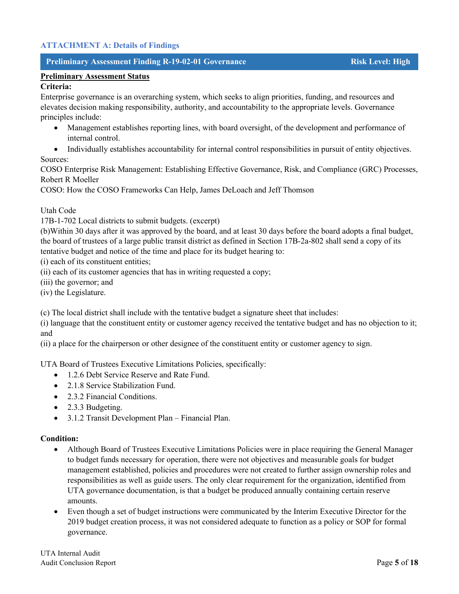# **ATTACHMENT A: Details of Findings**

# **Preliminary Assessment Finding R-19-02-01 Governance Risk Level: High**

# **Criteria:**

Enterprise governance is an overarching system, which seeks to align priorities, funding, and resources and elevates decision making responsibility, authority, and accountability to the appropriate levels. Governance principles include:

• Management establishes reporting lines, with board oversight, of the development and performance of internal control.

• Individually establishes accountability for internal control responsibilities in pursuit of entity objectives. Sources:

COSO Enterprise Risk Management: Establishing Effective Governance, Risk, and Compliance (GRC) Processes, Robert R Moeller

COSO: How the COSO Frameworks Can Help, James DeLoach and Jeff Thomson

Utah Code

17B-1-702 Local districts to submit budgets. (excerpt)

(b)Within 30 days after it was approved by the board, and at least 30 days before the board adopts a final budget, the board of trustees of a large public transit district as defined in Section 17B-2a-802 shall send a copy of its tentative budget and notice of the time and place for its budget hearing to:

(i) each of its constituent entities;

(ii) each of its customer agencies that has in writing requested a copy;

(iii) the governor; and

(iv) the Legislature.

(c) The local district shall include with the tentative budget a signature sheet that includes:

(i) language that the constituent entity or customer agency received the tentative budget and has no objection to it; and

(ii) a place for the chairperson or other designee of the constituent entity or customer agency to sign.

UTA Board of Trustees Executive Limitations Policies, specifically:

- 1.2.6 Debt Service Reserve and Rate Fund.
- 2.1.8 Service Stabilization Fund.
- 2.3.2 Financial Conditions.
- 2.3.3 Budgeting.
- 3.1.2 Transit Development Plan Financial Plan.

- Although Board of Trustees Executive Limitations Policies were in place requiring the General Manager to budget funds necessary for operation, there were not objectives and measurable goals for budget management established, policies and procedures were not created to further assign ownership roles and responsibilities as well as guide users. The only clear requirement for the organization, identified from UTA governance documentation, is that a budget be produced annually containing certain reserve amounts.
- Even though a set of budget instructions were communicated by the Interim Executive Director for the 2019 budget creation process, it was not considered adequate to function as a policy or SOP for formal governance.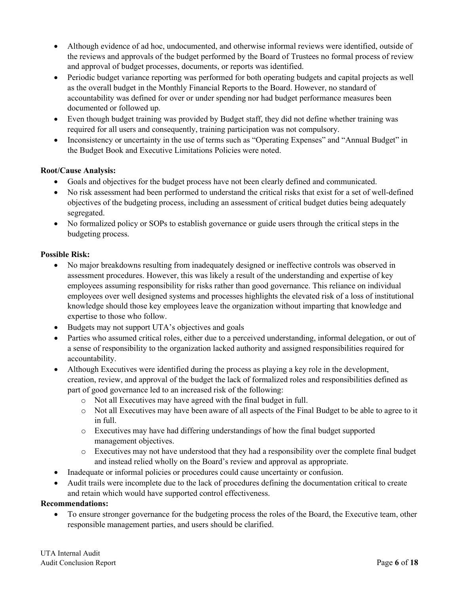- Although evidence of ad hoc, undocumented, and otherwise informal reviews were identified, outside of the reviews and approvals of the budget performed by the Board of Trustees no formal process of review and approval of budget processes, documents, or reports was identified.
- Periodic budget variance reporting was performed for both operating budgets and capital projects as well as the overall budget in the Monthly Financial Reports to the Board. However, no standard of accountability was defined for over or under spending nor had budget performance measures been documented or followed up.
- Even though budget training was provided by Budget staff, they did not define whether training was required for all users and consequently, training participation was not compulsory.
- Inconsistency or uncertainty in the use of terms such as "Operating Expenses" and "Annual Budget" in the Budget Book and Executive Limitations Policies were noted.

# **Root/Cause Analysis:**

- Goals and objectives for the budget process have not been clearly defined and communicated.
- No risk assessment had been performed to understand the critical risks that exist for a set of well-defined objectives of the budgeting process, including an assessment of critical budget duties being adequately segregated.
- No formalized policy or SOPs to establish governance or guide users through the critical steps in the budgeting process.

# **Possible Risk:**

- No major breakdowns resulting from inadequately designed or ineffective controls was observed in assessment procedures. However, this was likely a result of the understanding and expertise of key employees assuming responsibility for risks rather than good governance. This reliance on individual employees over well designed systems and processes highlights the elevated risk of a loss of institutional knowledge should those key employees leave the organization without imparting that knowledge and expertise to those who follow.
- Budgets may not support UTA's objectives and goals
- Parties who assumed critical roles, either due to a perceived understanding, informal delegation, or out of a sense of responsibility to the organization lacked authority and assigned responsibilities required for accountability.
- Although Executives were identified during the process as playing a key role in the development, creation, review, and approval of the budget the lack of formalized roles and responsibilities defined as part of good governance led to an increased risk of the following:
	- o Not all Executives may have agreed with the final budget in full.
	- o Not all Executives may have been aware of all aspects of the Final Budget to be able to agree to it in full.
	- o Executives may have had differing understandings of how the final budget supported management objectives.
	- o Executives may not have understood that they had a responsibility over the complete final budget and instead relied wholly on the Board's review and approval as appropriate.
- Inadequate or informal policies or procedures could cause uncertainty or confusion.
- Audit trails were incomplete due to the lack of procedures defining the documentation critical to create and retain which would have supported control effectiveness.

# **Recommendations:**

• To ensure stronger governance for the budgeting process the roles of the Board, the Executive team, other responsible management parties, and users should be clarified.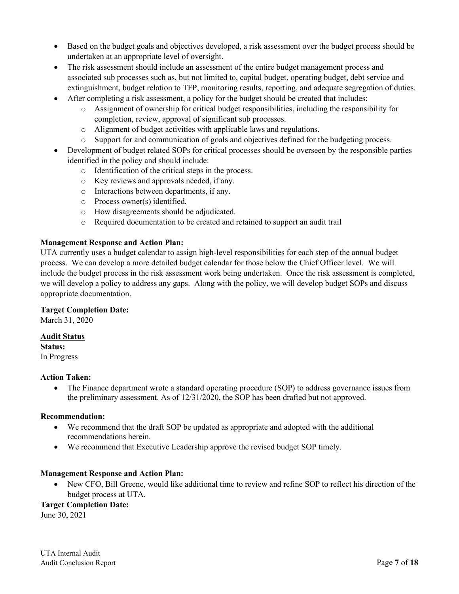- Based on the budget goals and objectives developed, a risk assessment over the budget process should be undertaken at an appropriate level of oversight.
- The risk assessment should include an assessment of the entire budget management process and associated sub processes such as, but not limited to, capital budget, operating budget, debt service and extinguishment, budget relation to TFP, monitoring results, reporting, and adequate segregation of duties.
- After completing a risk assessment, a policy for the budget should be created that includes:
	- o Assignment of ownership for critical budget responsibilities, including the responsibility for completion, review, approval of significant sub processes.
	- o Alignment of budget activities with applicable laws and regulations.
	- o Support for and communication of goals and objectives defined for the budgeting process.
- Development of budget related SOPs for critical processes should be overseen by the responsible parties identified in the policy and should include:
	- o Identification of the critical steps in the process.
	- o Key reviews and approvals needed, if any.
	- o Interactions between departments, if any.
	- o Process owner(s) identified.
	- o How disagreements should be adjudicated.
	- o Required documentation to be created and retained to support an audit trail

# **Management Response and Action Plan:**

UTA currently uses a budget calendar to assign high-level responsibilities for each step of the annual budget process. We can develop a more detailed budget calendar for those below the Chief Officer level. We will include the budget process in the risk assessment work being undertaken. Once the risk assessment is completed, we will develop a policy to address any gaps. Along with the policy, we will develop budget SOPs and discuss appropriate documentation.

# **Target Completion Date:**

March 31, 2020

# **Audit Status**

**Status:** In Progress

#### **Action Taken:**

• The Finance department wrote a standard operating procedure (SOP) to address governance issues from the preliminary assessment. As of 12/31/2020, the SOP has been drafted but not approved.

# **Recommendation:**

- We recommend that the draft SOP be updated as appropriate and adopted with the additional recommendations herein.
- We recommend that Executive Leadership approve the revised budget SOP timely.

# **Management Response and Action Plan:**

• New CFO, Bill Greene, would like additional time to review and refine SOP to reflect his direction of the budget process at UTA.

# **Target Completion Date:**

June 30, 2021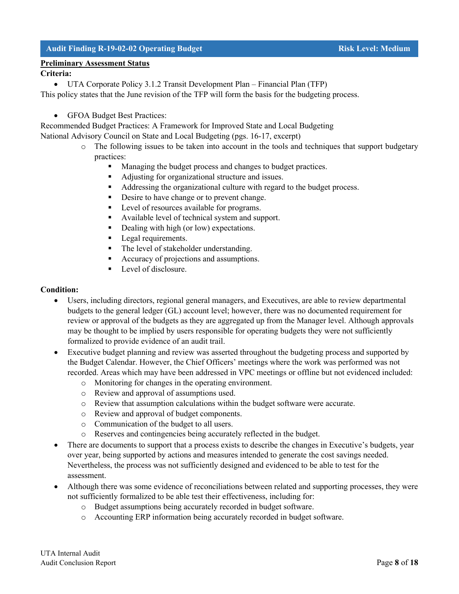# **Audit Finding R-19-02-02 Operating Budget Risk Level: Medium**

# **Preliminary Assessment Status**

# **Criteria:**

• UTA Corporate Policy 3.1.2 Transit Development Plan – Financial Plan (TFP)

This policy states that the June revision of the TFP will form the basis for the budgeting process.

• GFOA Budget Best Practices:

Recommended Budget Practices: A Framework for Improved State and Local Budgeting National Advisory Council on State and Local Budgeting (pgs. 16-17, excerpt)

- o The following issues to be taken into account in the tools and techniques that support budgetary practices:
	- **Managing the budget process and changes to budget practices.**
	- Adjusting for organizational structure and issues.
	- Addressing the organizational culture with regard to the budget process.
	- Desire to have change or to prevent change.
	- **Level of resources available for programs.**
	- Available level of technical system and support.
	- Dealing with high (or low) expectations.
	- **Legal requirements.**
	- The level of stakeholder understanding.
	- Accuracy of projections and assumptions.
	- Level of disclosure.

- Users, including directors, regional general managers, and Executives, are able to review departmental budgets to the general ledger (GL) account level; however, there was no documented requirement for review or approval of the budgets as they are aggregated up from the Manager level. Although approvals may be thought to be implied by users responsible for operating budgets they were not sufficiently formalized to provide evidence of an audit trail.
- Executive budget planning and review was asserted throughout the budgeting process and supported by the Budget Calendar. However, the Chief Officers' meetings where the work was performed was not recorded. Areas which may have been addressed in VPC meetings or offline but not evidenced included:
	- o Monitoring for changes in the operating environment.
	- o Review and approval of assumptions used.
	- o Review that assumption calculations within the budget software were accurate.
	- o Review and approval of budget components.
	- o Communication of the budget to all users.
	- o Reserves and contingencies being accurately reflected in the budget.
- There are documents to support that a process exists to describe the changes in Executive's budgets, year over year, being supported by actions and measures intended to generate the cost savings needed. Nevertheless, the process was not sufficiently designed and evidenced to be able to test for the assessment.
- Although there was some evidence of reconciliations between related and supporting processes, they were not sufficiently formalized to be able test their effectiveness, including for:
	- o Budget assumptions being accurately recorded in budget software.
	- o Accounting ERP information being accurately recorded in budget software.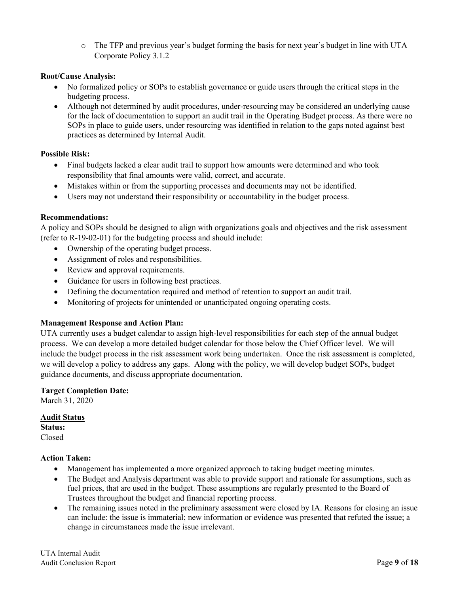o The TFP and previous year's budget forming the basis for next year's budget in line with UTA Corporate Policy 3.1.2

# **Root/Cause Analysis:**

- No formalized policy or SOPs to establish governance or guide users through the critical steps in the budgeting process.
- Although not determined by audit procedures, under-resourcing may be considered an underlying cause for the lack of documentation to support an audit trail in the Operating Budget process. As there were no SOPs in place to guide users, under resourcing was identified in relation to the gaps noted against best practices as determined by Internal Audit.

# **Possible Risk:**

- Final budgets lacked a clear audit trail to support how amounts were determined and who took responsibility that final amounts were valid, correct, and accurate.
- Mistakes within or from the supporting processes and documents may not be identified.
- Users may not understand their responsibility or accountability in the budget process.

# **Recommendations:**

A policy and SOPs should be designed to align with organizations goals and objectives and the risk assessment (refer to R-19-02-01) for the budgeting process and should include:

- Ownership of the operating budget process.
- Assignment of roles and responsibilities.
- Review and approval requirements.
- Guidance for users in following best practices.
- Defining the documentation required and method of retention to support an audit trail.
- Monitoring of projects for unintended or unanticipated ongoing operating costs.

# **Management Response and Action Plan:**

UTA currently uses a budget calendar to assign high-level responsibilities for each step of the annual budget process. We can develop a more detailed budget calendar for those below the Chief Officer level. We will include the budget process in the risk assessment work being undertaken. Once the risk assessment is completed, we will develop a policy to address any gaps. Along with the policy, we will develop budget SOPs, budget guidance documents, and discuss appropriate documentation.

# **Target Completion Date:**

March 31, 2020

**Audit Status Status:**

Closed

# **Action Taken:**

- Management has implemented a more organized approach to taking budget meeting minutes.
- The Budget and Analysis department was able to provide support and rationale for assumptions, such as fuel prices, that are used in the budget. These assumptions are regularly presented to the Board of Trustees throughout the budget and financial reporting process.
- The remaining issues noted in the preliminary assessment were closed by IA. Reasons for closing an issue can include: the issue is immaterial; new information or evidence was presented that refuted the issue; a change in circumstances made the issue irrelevant.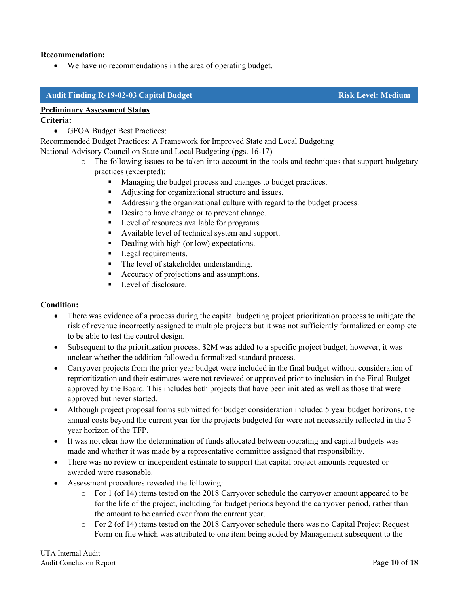# **Recommendation:**

• We have no recommendations in the area of operating budget.

# **Audit Finding R-19-02-03 Capital Budget Risk Level: Medium**

# **Preliminary Assessment Status**

# **Criteria:**

• GFOA Budget Best Practices:

Recommended Budget Practices: A Framework for Improved State and Local Budgeting

National Advisory Council on State and Local Budgeting (pgs. 16-17)

- $\circ$  The following issues to be taken into account in the tools and techniques that support budgetary practices (excerpted):
	- Managing the budget process and changes to budget practices.
	- Adjusting for organizational structure and issues.
	- Addressing the organizational culture with regard to the budget process.
	- Desire to have change or to prevent change.
	- **Level of resources available for programs.**
	- Available level of technical system and support.
	- Dealing with high (or low) expectations.
	- **Legal requirements.**
	- The level of stakeholder understanding.
	- Accuracy of projections and assumptions.
	- **Level of disclosure.**

- There was evidence of a process during the capital budgeting project prioritization process to mitigate the risk of revenue incorrectly assigned to multiple projects but it was not sufficiently formalized or complete to be able to test the control design.
- Subsequent to the prioritization process, \$2M was added to a specific project budget; however, it was unclear whether the addition followed a formalized standard process.
- Carryover projects from the prior year budget were included in the final budget without consideration of reprioritization and their estimates were not reviewed or approved prior to inclusion in the Final Budget approved by the Board. This includes both projects that have been initiated as well as those that were approved but never started.
- Although project proposal forms submitted for budget consideration included 5 year budget horizons, the annual costs beyond the current year for the projects budgeted for were not necessarily reflected in the 5 year horizon of the TFP.
- It was not clear how the determination of funds allocated between operating and capital budgets was made and whether it was made by a representative committee assigned that responsibility.
- There was no review or independent estimate to support that capital project amounts requested or awarded were reasonable.
- Assessment procedures revealed the following:
	- o For 1 (of 14) items tested on the 2018 Carryover schedule the carryover amount appeared to be for the life of the project, including for budget periods beyond the carryover period, rather than the amount to be carried over from the current year.
	- o For 2 (of 14) items tested on the 2018 Carryover schedule there was no Capital Project Request Form on file which was attributed to one item being added by Management subsequent to the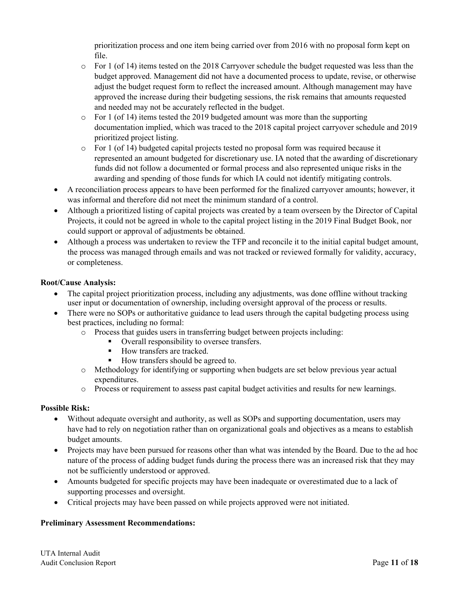prioritization process and one item being carried over from 2016 with no proposal form kept on file.

- o For 1 (of 14) items tested on the 2018 Carryover schedule the budget requested was less than the budget approved. Management did not have a documented process to update, revise, or otherwise adjust the budget request form to reflect the increased amount. Although management may have approved the increase during their budgeting sessions, the risk remains that amounts requested and needed may not be accurately reflected in the budget.
- $\circ$  For 1 (of 14) items tested the 2019 budgeted amount was more than the supporting documentation implied, which was traced to the 2018 capital project carryover schedule and 2019 prioritized project listing.
- o For 1 (of 14) budgeted capital projects tested no proposal form was required because it represented an amount budgeted for discretionary use. IA noted that the awarding of discretionary funds did not follow a documented or formal process and also represented unique risks in the awarding and spending of those funds for which IA could not identify mitigating controls.
- A reconciliation process appears to have been performed for the finalized carryover amounts; however, it was informal and therefore did not meet the minimum standard of a control.
- Although a prioritized listing of capital projects was created by a team overseen by the Director of Capital Projects, it could not be agreed in whole to the capital project listing in the 2019 Final Budget Book, nor could support or approval of adjustments be obtained.
- Although a process was undertaken to review the TFP and reconcile it to the initial capital budget amount, the process was managed through emails and was not tracked or reviewed formally for validity, accuracy, or completeness.

# **Root/Cause Analysis:**

- The capital project prioritization process, including any adjustments, was done offline without tracking user input or documentation of ownership, including oversight approval of the process or results.
- There were no SOPs or authoritative guidance to lead users through the capital budgeting process using best practices, including no formal:
	- o Process that guides users in transferring budget between projects including:
		- Overall responsibility to oversee transfers.
		- How transfers are tracked.
		- How transfers should be agreed to.
	- o Methodology for identifying or supporting when budgets are set below previous year actual expenditures.
	- o Process or requirement to assess past capital budget activities and results for new learnings.

# **Possible Risk:**

- Without adequate oversight and authority, as well as SOPs and supporting documentation, users may have had to rely on negotiation rather than on organizational goals and objectives as a means to establish budget amounts.
- Projects may have been pursued for reasons other than what was intended by the Board. Due to the ad hoc nature of the process of adding budget funds during the process there was an increased risk that they may not be sufficiently understood or approved.
- Amounts budgeted for specific projects may have been inadequate or overestimated due to a lack of supporting processes and oversight.
- Critical projects may have been passed on while projects approved were not initiated.

# **Preliminary Assessment Recommendations:**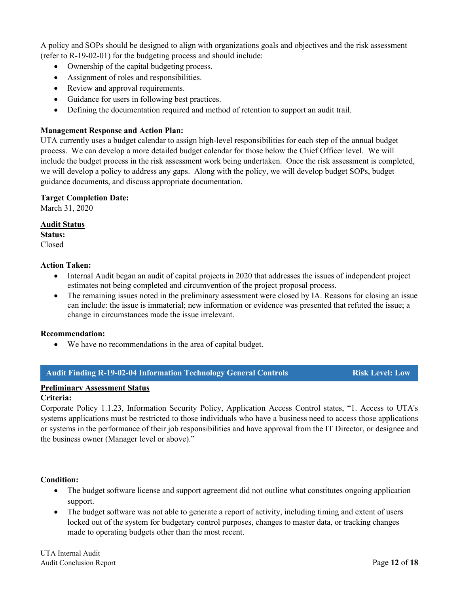A policy and SOPs should be designed to align with organizations goals and objectives and the risk assessment (refer to R-19-02-01) for the budgeting process and should include:

- Ownership of the capital budgeting process.
- Assignment of roles and responsibilities.
- Review and approval requirements.
- Guidance for users in following best practices.
- Defining the documentation required and method of retention to support an audit trail.

# **Management Response and Action Plan:**

UTA currently uses a budget calendar to assign high-level responsibilities for each step of the annual budget process. We can develop a more detailed budget calendar for those below the Chief Officer level. We will include the budget process in the risk assessment work being undertaken. Once the risk assessment is completed, we will develop a policy to address any gaps. Along with the policy, we will develop budget SOPs, budget guidance documents, and discuss appropriate documentation.

#### **Target Completion Date:**

March 31, 2020

#### **Audit Status**

**Status:** Closed

#### **Action Taken:**

- Internal Audit began an audit of capital projects in 2020 that addresses the issues of independent project estimates not being completed and circumvention of the project proposal process.
- The remaining issues noted in the preliminary assessment were closed by IA. Reasons for closing an issue can include: the issue is immaterial; new information or evidence was presented that refuted the issue; a change in circumstances made the issue irrelevant.

#### **Recommendation:**

• We have no recommendations in the area of capital budget.

#### **Audit Finding R-19-02-04 Information Technology General Controls Risk Level: Low**

# **Preliminary Assessment Status**

#### **Criteria:**

Corporate Policy 1.1.23, Information Security Policy, Application Access Control states, "1. Access to UTA's systems applications must be restricted to those individuals who have a business need to access those applications or systems in the performance of their job responsibilities and have approval from the IT Director, or designee and the business owner (Manager level or above)."

- The budget software license and support agreement did not outline what constitutes ongoing application support.
- The budget software was not able to generate a report of activity, including timing and extent of users locked out of the system for budgetary control purposes, changes to master data, or tracking changes made to operating budgets other than the most recent.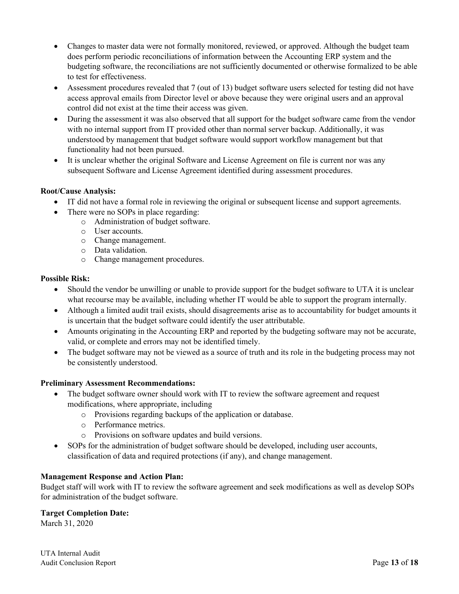- Changes to master data were not formally monitored, reviewed, or approved. Although the budget team does perform periodic reconciliations of information between the Accounting ERP system and the budgeting software, the reconciliations are not sufficiently documented or otherwise formalized to be able to test for effectiveness.
- Assessment procedures revealed that 7 (out of 13) budget software users selected for testing did not have access approval emails from Director level or above because they were original users and an approval control did not exist at the time their access was given.
- During the assessment it was also observed that all support for the budget software came from the vendor with no internal support from IT provided other than normal server backup. Additionally, it was understood by management that budget software would support workflow management but that functionality had not been pursued.
- It is unclear whether the original Software and License Agreement on file is current nor was any subsequent Software and License Agreement identified during assessment procedures.

# **Root/Cause Analysis:**

- IT did not have a formal role in reviewing the original or subsequent license and support agreements.
- There were no SOPs in place regarding:
	- o Administration of budget software.
	- o User accounts.
	- o Change management.
	- o Data validation.
	- o Change management procedures.

# **Possible Risk:**

- Should the vendor be unwilling or unable to provide support for the budget software to UTA it is unclear what recourse may be available, including whether IT would be able to support the program internally.
- Although a limited audit trail exists, should disagreements arise as to accountability for budget amounts it is uncertain that the budget software could identify the user attributable.
- Amounts originating in the Accounting ERP and reported by the budgeting software may not be accurate, valid, or complete and errors may not be identified timely.
- The budget software may not be viewed as a source of truth and its role in the budgeting process may not be consistently understood.

# **Preliminary Assessment Recommendations:**

- The budget software owner should work with IT to review the software agreement and request modifications, where appropriate, including
	- o Provisions regarding backups of the application or database.
	- o Performance metrics.
	- o Provisions on software updates and build versions.
- SOPs for the administration of budget software should be developed, including user accounts, classification of data and required protections (if any), and change management.

# **Management Response and Action Plan:**

Budget staff will work with IT to review the software agreement and seek modifications as well as develop SOPs for administration of the budget software.

# **Target Completion Date:**

March 31, 2020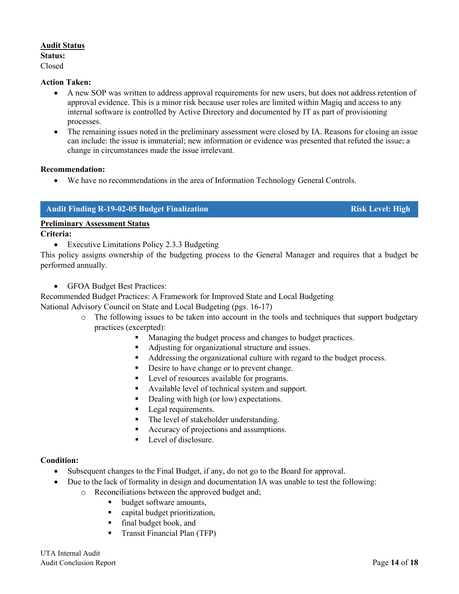# **Audit Status**

# **Status:**

Closed

# **Action Taken:**

- A new SOP was written to address approval requirements for new users, but does not address retention of approval evidence. This is a minor risk because user roles are limited within Magiq and access to any internal software is controlled by Active Directory and documented by IT as part of provisioning processes.
- The remaining issues noted in the preliminary assessment were closed by IA. Reasons for closing an issue can include: the issue is immaterial; new information or evidence was presented that refuted the issue; a change in circumstances made the issue irrelevant.

# **Recommendation:**

• We have no recommendations in the area of Information Technology General Controls.

# **Audit Finding R-19-02-05 Budget Finalization Risk Level: High**

# **Preliminary Assessment Status**

**Criteria:**

• Executive Limitations Policy 2.3.3 Budgeting

This policy assigns ownership of the budgeting process to the General Manager and requires that a budget be performed annually.

• GFOA Budget Best Practices:

Recommended Budget Practices: A Framework for Improved State and Local Budgeting National Advisory Council on State and Local Budgeting (pgs. 16-17)

- o The following issues to be taken into account in the tools and techniques that support budgetary practices (excerpted):
	- Managing the budget process and changes to budget practices.
	- Adjusting for organizational structure and issues.
	- Addressing the organizational culture with regard to the budget process.
	- Desire to have change or to prevent change.
	- Level of resources available for programs.
	- Available level of technical system and support.
	- Dealing with high (or low) expectations.
	- **Legal requirements.**
	- The level of stakeholder understanding.
	- Accuracy of projections and assumptions.
	- Level of disclosure.

# **Condition:**

- Subsequent changes to the Final Budget, if any, do not go to the Board for approval.
- Due to the lack of formality in design and documentation IA was unable to test the following:
	- o Reconciliations between the approved budget and;<br>budget software amounts.
		- budget software amounts,
		- capital budget prioritization,
		- final budget book, and
		- **Transit Financial Plan (TFP)**

UTA Internal Audit Audit Conclusion Report **Page 14** of **18**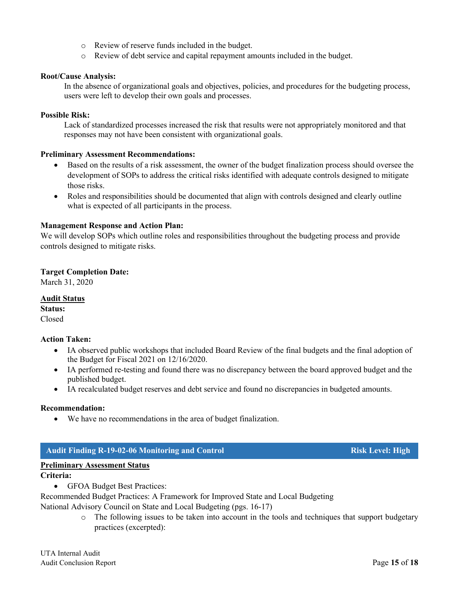- o Review of reserve funds included in the budget.
- o Review of debt service and capital repayment amounts included in the budget.

#### **Root/Cause Analysis:**

In the absence of organizational goals and objectives, policies, and procedures for the budgeting process, users were left to develop their own goals and processes.

#### **Possible Risk:**

Lack of standardized processes increased the risk that results were not appropriately monitored and that responses may not have been consistent with organizational goals.

#### **Preliminary Assessment Recommendations:**

- Based on the results of a risk assessment, the owner of the budget finalization process should oversee the development of SOPs to address the critical risks identified with adequate controls designed to mitigate those risks.
- Roles and responsibilities should be documented that align with controls designed and clearly outline what is expected of all participants in the process.

#### **Management Response and Action Plan:**

We will develop SOPs which outline roles and responsibilities throughout the budgeting process and provide controls designed to mitigate risks.

#### **Target Completion Date:**

March 31, 2020

#### **Audit Status**

**Status:** Closed

#### **Action Taken:**

- IA observed public workshops that included Board Review of the final budgets and the final adoption of the Budget for Fiscal 2021 on 12/16/2020.
- IA performed re-testing and found there was no discrepancy between the board approved budget and the published budget.
- IA recalculated budget reserves and debt service and found no discrepancies in budgeted amounts.

#### **Recommendation:**

• We have no recommendations in the area of budget finalization.

# **Audit Finding R-19-02-06 Monitoring and Control Risk Level: High**

#### **Preliminary Assessment Status**

#### **Criteria:**

• GFOA Budget Best Practices:

Recommended Budget Practices: A Framework for Improved State and Local Budgeting

National Advisory Council on State and Local Budgeting (pgs. 16-17)

 $\circ$  The following issues to be taken into account in the tools and techniques that support budgetary practices (excerpted):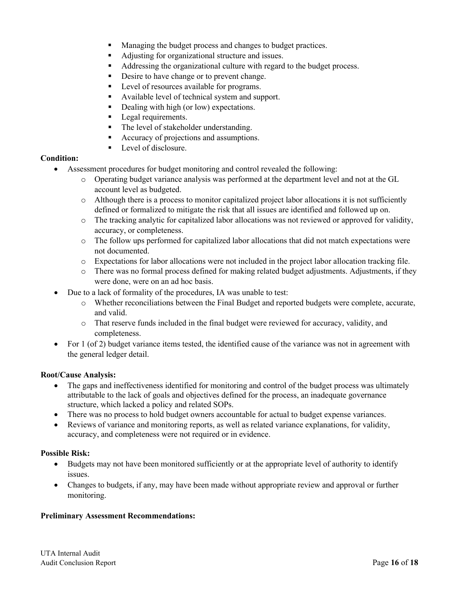- **Managing the budget process and changes to budget practices.**
- Adjusting for organizational structure and issues.
- Addressing the organizational culture with regard to the budget process.
- Desire to have change or to prevent change.
- **Level of resources available for programs.**
- Available level of technical system and support.
- Dealing with high (or low) expectations.
- **Legal requirements.**
- The level of stakeholder understanding.
- Accuracy of projections and assumptions.
- Level of disclosure.

# **Condition:**

- Assessment procedures for budget monitoring and control revealed the following:
	- o Operating budget variance analysis was performed at the department level and not at the GL account level as budgeted.
	- o Although there is a process to monitor capitalized project labor allocations it is not sufficiently defined or formalized to mitigate the risk that all issues are identified and followed up on.
	- o The tracking analytic for capitalized labor allocations was not reviewed or approved for validity, accuracy, or completeness.
	- o The follow ups performed for capitalized labor allocations that did not match expectations were not documented.
	- o Expectations for labor allocations were not included in the project labor allocation tracking file.
	- o There was no formal process defined for making related budget adjustments. Adjustments, if they were done, were on an ad hoc basis.
- Due to a lack of formality of the procedures, IA was unable to test:
	- o Whether reconciliations between the Final Budget and reported budgets were complete, accurate, and valid.
	- o That reserve funds included in the final budget were reviewed for accuracy, validity, and completeness.
- For 1 (of 2) budget variance items tested, the identified cause of the variance was not in agreement with the general ledger detail.

# **Root/Cause Analysis:**

- The gaps and ineffectiveness identified for monitoring and control of the budget process was ultimately attributable to the lack of goals and objectives defined for the process, an inadequate governance structure, which lacked a policy and related SOPs.
- There was no process to hold budget owners accountable for actual to budget expense variances.
- Reviews of variance and monitoring reports, as well as related variance explanations, for validity, accuracy, and completeness were not required or in evidence.

# **Possible Risk:**

- Budgets may not have been monitored sufficiently or at the appropriate level of authority to identify issues.
- Changes to budgets, if any, may have been made without appropriate review and approval or further monitoring.

# **Preliminary Assessment Recommendations:**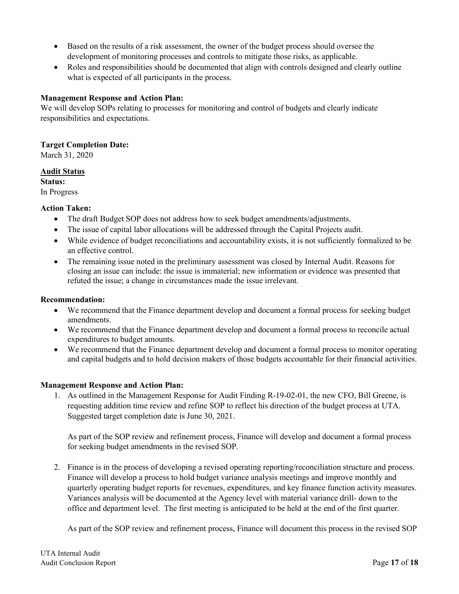- Based on the results of a risk assessment, the owner of the budget process should oversee the development of monitoring processes and controls to mitigate those risks, as applicable.
- Roles and responsibilities should be documented that align with controls designed and clearly outline what is expected of all participants in the process.

# **Management Response and Action Plan:**

We will develop SOPs relating to processes for monitoring and control of budgets and clearly indicate responsibilities and expectations.

# **Target Completion Date:**

March 31, 2020

# **Audit Status**

**Status:**

In Progress

# **Action Taken:**

- The draft Budget SOP does not address how to seek budget amendments/adjustments.
- The issue of capital labor allocations will be addressed through the Capital Projects audit.
- While evidence of budget reconciliations and accountability exists, it is not sufficiently formalized to be an effective control.
- The remaining issue noted in the preliminary assessment was closed by Internal Audit. Reasons for closing an issue can include: the issue is immaterial; new information or evidence was presented that refuted the issue; a change in circumstances made the issue irrelevant.

# **Recommendation:**

- We recommend that the Finance department develop and document a formal process for seeking budget amendments.
- We recommend that the Finance department develop and document a formal process to reconcile actual expenditures to budget amounts.
- We recommend that the Finance department develop and document a formal process to monitor operating and capital budgets and to hold decision makers of those budgets accountable for their financial activities.

# **Management Response and Action Plan:**

1. As outlined in the Management Response for Audit Finding R-19-02-01, the new CFO, Bill Greene, is requesting addition time review and refine SOP to reflect his direction of the budget process at UTA. Suggested target completion date is June 30, 2021.

As part of the SOP review and refinement process, Finance will develop and document a formal process for seeking budget amendments in the revised SOP.

2. Finance is in the process of developing a revised operating reporting/reconciliation structure and process. Finance will develop a process to hold budget variance analysis meetings and improve monthly and quarterly operating budget reports for revenues, expenditures, and key finance function activity measures. Variances analysis will be documented at the Agency level with material variance drill- down to the office and department level. The first meeting is anticipated to be held at the end of the first quarter.

As part of the SOP review and refinement process, Finance will document this process in the revised SOP